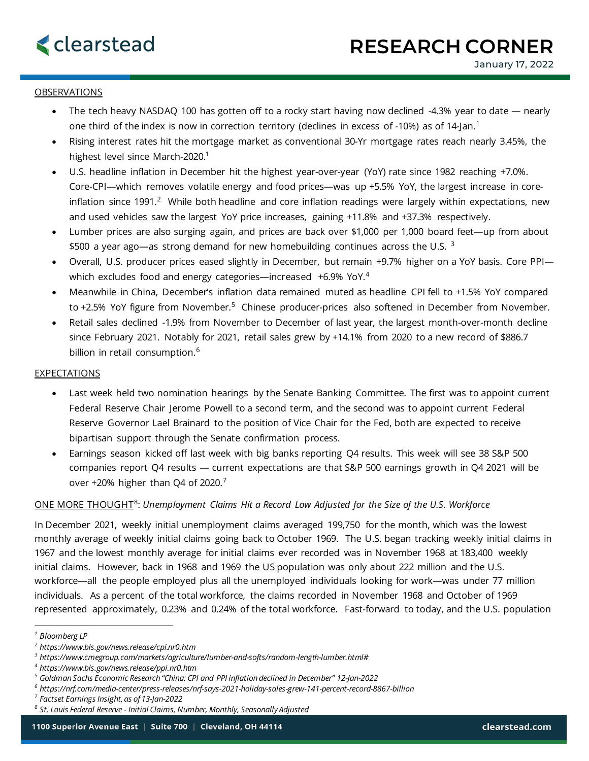## OBSERVATIONS

- The tech heavy NASDAQ 100 has gotten off to a rocky start having now declined -4.3% year to date nearly one third of the index is now in correction territory (declines in excess of -[1](#page-0-0)0%) as of 14-Jan.<sup>1</sup>
- Rising interest rates hit the mortgage market as conventional 30-Yr mortgage rates reach nearly 3.45%, the highest level since March-2020.<sup>1</sup>
- U.S. headline inflation in December hit the highest year-over-year (YoY) rate since 1982 reaching +7.0%. Core-CPI—which removes volatile energy and food prices—was up +5.5% YoY, the largest increase in core-inflation since 1991.<sup>[2](#page-0-1)</sup> While both headline and core inflation readings were largely within expectations, new and used vehicles saw the largest YoY price increases, gaining +11.8% and +37.3% respectively.
- Lumber prices are also surging again, and prices are back over \$1,000 per 1,000 board feet—up from about \$500 a year ago—as strong demand for new homebuilding continues across the U.S.  $3$
- Overall, U.S. producer prices eased slightly in December, but remain +9.7% higher on a YoY basis. Core PPI— which excludes food and energy categories—increased +6.9% YoY.<sup>[4](#page-0-3)</sup>
- Meanwhile in China, December's inflation data remained muted as headline CPI fell to +1.5% YoY compared to +2.[5](#page-0-4)% YoY figure from November.<sup>5</sup> Chinese producer-prices also softened in December from November.
- Retail sales declined -1.9% from November to December of last year, the largest month-over-month decline since February 2021. Notably for 2021, retail sales grew by +14.1% from 2020 to a new record of \$886.7 billion in retail consumption. [6](#page-0-5)

### **EXPECTATIONS**

- Last week held two nomination hearings by the Senate Banking Committee. The first was to appoint current Federal Reserve Chair Jerome Powell to a second term, and the second was to appoint current Federal Reserve Governor Lael Brainard to the position of Vice Chair for the Fed, both are expected to receive bipartisan support through the Senate confirmation process.
- Earnings season kicked off last week with big banks reporting Q4 results. This week will see 38 S&P 500 companies report Q4 results — current expectations are that S&P 500 earnings growth in Q4 2021 will be over +20% higher than Q4 of 2020.<sup>[7](#page-0-6)</sup>

### ONE MORE THOUGHT[8](#page-0-7): *Unemployment Claims Hit a Record Low Adjusted for the Size of the U.S. Workforce*

In December 2021, weekly initial unemployment claims averaged 199,750 for the month, which was the lowest monthly average of weekly initial claims going back to October 1969. The U.S. began tracking weekly initial claims in 1967 and the lowest monthly average for initial claims ever recorded was in November 1968 at 183,400 weekly initial claims. However, back in 1968 and 1969 the US population was only about 222 million and the U.S. workforce—all the people employed plus all the unemployed individuals looking for work—was under 77 million individuals. As a percent of the total workforce, the claims recorded in November 1968 and October of 1969 represented approximately, 0.23% and 0.24% of the total workforce. Fast-forward to today, and the U.S. population

<span id="page-0-0"></span>*<sup>1</sup> Bloomberg LP*

<span id="page-0-1"></span>*<sup>2</sup> https://www.bls.gov/news.release/cpi.nr0.htm*

<span id="page-0-2"></span>*<sup>3</sup> https://www.cmegroup.com/markets/agriculture/lumber-and-softs/random-length-lumber.html#*

<span id="page-0-3"></span>*<sup>4</sup> https://www.bls.gov/news.release/ppi.nr0.htm*

<span id="page-0-4"></span>*<sup>5</sup> Goldman Sachs Economic Research "China: CPI and PPI inflation declined in December" 12-Jan-2022*

<span id="page-0-5"></span>*<sup>6</sup> https://nrf.com/media-center/press-releases/nrf-says-2021-holiday-sales-grew-141-percent-record-8867-billion*

<span id="page-0-6"></span>*<sup>7</sup> Factset Earnings Insight, as of 13-Jan-2022*

<span id="page-0-7"></span>*<sup>8</sup> St. Louis Federal Reserve - Initial Claims, Number, Monthly, Seasonally Adjusted*